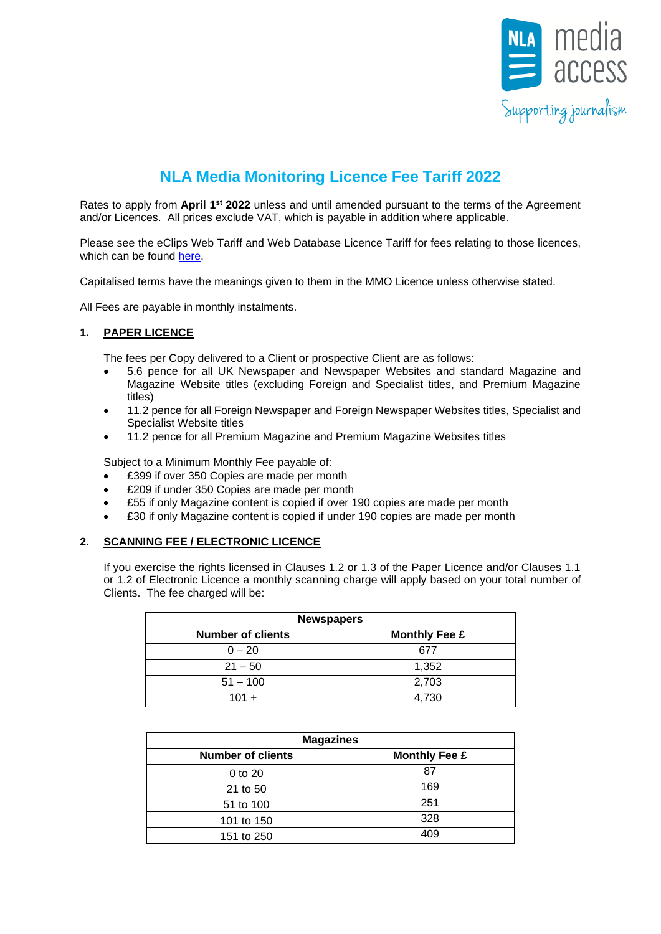

# **NLA Media Monitoring Licence Fee Tariff 2022**

Rates to apply from April 1<sup>st</sup> 2022 unless and until amended pursuant to the terms of the Agreement and/or Licences. All prices exclude VAT, which is payable in addition where applicable.

Please see the eClips Web Tariff and Web Database Licence Tariff for fees relating to those licences, which can be found [here.](http://www.nlamediaaccess.com/default.aspx?tabid=150)

Capitalised terms have the meanings given to them in the MMO Licence unless otherwise stated.

All Fees are payable in monthly instalments.

# **1. PAPER LICENCE**

The fees per Copy delivered to a Client or prospective Client are as follows:

- 5.6 pence for all UK Newspaper and Newspaper Websites and standard Magazine and Magazine Website titles (excluding Foreign and Specialist titles, and Premium Magazine titles)
- 11.2 pence for all Foreign Newspaper and Foreign Newspaper Websites titles, Specialist and Specialist Website titles
- 11.2 pence for all Premium Magazine and Premium Magazine Websites titles

Subject to a Minimum Monthly Fee payable of:

- £399 if over 350 Copies are made per month
- £209 if under 350 Copies are made per month
- £55 if only Magazine content is copied if over 190 copies are made per month
- £30 if only Magazine content is copied if under 190 copies are made per month

## **2. SCANNING FEE / ELECTRONIC LICENCE**

If you exercise the rights licensed in Clauses 1.2 or 1.3 of the Paper Licence and/or Clauses 1.1 or 1.2 of Electronic Licence a monthly scanning charge will apply based on your total number of Clients. The fee charged will be:

| <b>Newspapers</b>                                |       |  |
|--------------------------------------------------|-------|--|
| <b>Number of clients</b><br><b>Monthly Fee £</b> |       |  |
| $0 - 20$                                         | 677   |  |
| $21 - 50$                                        | 1,352 |  |
| $51 - 100$                                       | 2,703 |  |
| $101 +$                                          | 4.730 |  |

| <b>Magazines</b>         |                      |  |
|--------------------------|----------------------|--|
| <b>Number of clients</b> | <b>Monthly Fee £</b> |  |
| 0 to 20                  | 87                   |  |
| 21 to 50                 | 169                  |  |
| 51 to 100                | 251                  |  |
| 101 to 150               | 328                  |  |
| 151 to 250               | 409                  |  |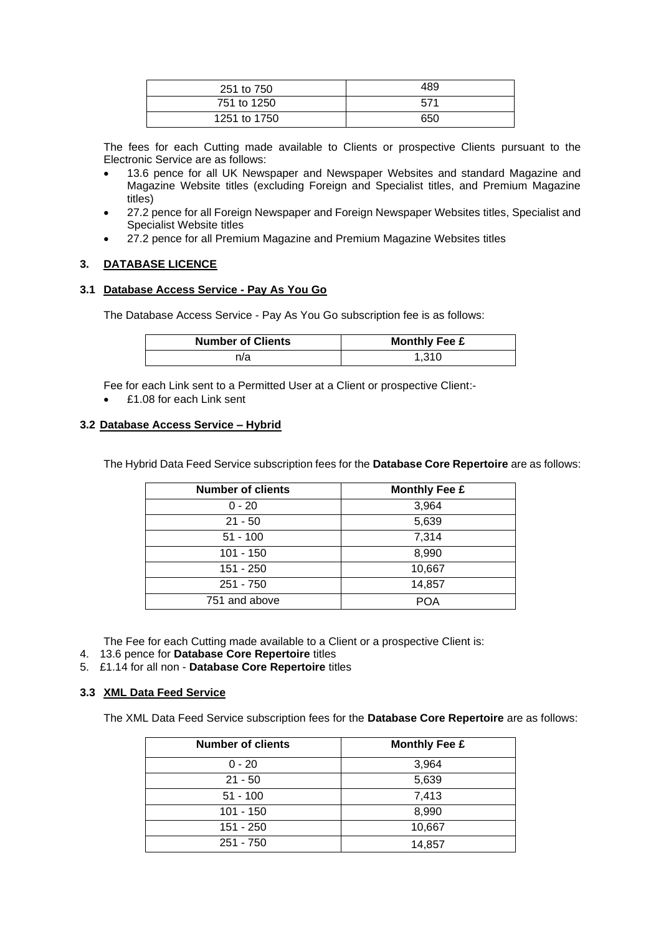| 251 to 750   | 489 |
|--------------|-----|
| 751 to 1250  | 571 |
| 1251 to 1750 | 650 |

The fees for each Cutting made available to Clients or prospective Clients pursuant to the Electronic Service are as follows:

- 13.6 pence for all UK Newspaper and Newspaper Websites and standard Magazine and Magazine Website titles (excluding Foreign and Specialist titles, and Premium Magazine titles)
- 27.2 pence for all Foreign Newspaper and Foreign Newspaper Websites titles, Specialist and Specialist Website titles
- 27.2 pence for all Premium Magazine and Premium Magazine Websites titles

# **3. DATABASE LICENCE**

## **3.1 Database Access Service - Pay As You Go**

The Database Access Service - Pay As You Go subscription fee is as follows:

| <b>Number of Clients</b> | <b>Monthly Fee £</b> |  |
|--------------------------|----------------------|--|
| n/a                      | 1.310                |  |

Fee for each Link sent to a Permitted User at a Client or prospective Client:-

• £1.08 for each Link sent

## **3.2 Database Access Service – Hybrid**

The Hybrid Data Feed Service subscription fees for the **Database Core Repertoire** are as follows:

| <b>Number of clients</b> | <b>Monthly Fee £</b> |
|--------------------------|----------------------|
| $0 - 20$                 | 3,964                |
| $21 - 50$                | 5,639                |
| $51 - 100$               | 7,314                |
| $101 - 150$              | 8,990                |
| $151 - 250$              | 10,667               |
| $251 - 750$              | 14,857               |
| 751 and above            | POA                  |

The Fee for each Cutting made available to a Client or a prospective Client is:

- 4. 13.6 pence for **Database Core Repertoire** titles
- 5. £1.14 for all non **Database Core Repertoire** titles

## **3.3 XML Data Feed Service**

The XML Data Feed Service subscription fees for the **Database Core Repertoire** are as follows:

| <b>Number of clients</b> | <b>Monthly Fee £</b> |
|--------------------------|----------------------|
| $0 - 20$                 | 3,964                |
| $21 - 50$                | 5,639                |
| $51 - 100$               | 7,413                |
| $101 - 150$              | 8,990                |
| 151 - 250                | 10,667               |
| $251 - 750$              | 14,857               |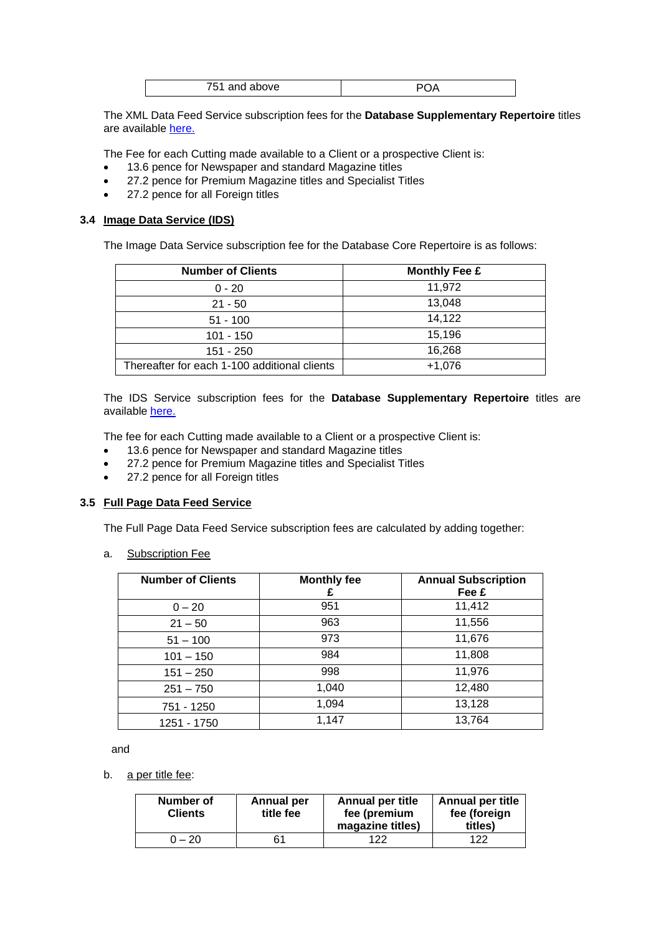| ラロッ<br>and above<br>$\cdot$ |  |
|-----------------------------|--|

The XML Data Feed Service subscription fees for the **Database Supplementary Repertoire** titles are available [here.](http://blog.nla.co.uk/documentation/NLA%20database%20Title%20list%202017.xlsm)

The Fee for each Cutting made available to a Client or a prospective Client is:

- 13.6 pence for Newspaper and standard Magazine titles
- 27.2 pence for Premium Magazine titles and Specialist Titles
- 27.2 pence for all Foreign titles

## **3.4 Image Data Service (IDS)**

The Image Data Service subscription fee for the Database Core Repertoire is as follows:

| <b>Number of Clients</b>                     | <b>Monthly Fee £</b> |
|----------------------------------------------|----------------------|
| $0 - 20$                                     | 11,972               |
| $21 - 50$                                    | 13,048               |
| $51 - 100$                                   | 14,122               |
| 101 - 150                                    | 15,196               |
| $151 - 250$                                  | 16,268               |
| Thereafter for each 1-100 additional clients | $+1,076$             |

The IDS Service subscription fees for the **Database Supplementary Repertoire** titles are available [here.](http://blog.nla.co.uk/documentation/NLA%20database%20Title%20list%202017.xlsm)

The fee for each Cutting made available to a Client or a prospective Client is:

- 13.6 pence for Newspaper and standard Magazine titles
- 27.2 pence for Premium Magazine titles and Specialist Titles
- 27.2 pence for all Foreign titles

## **3.5 Full Page Data Feed Service**

The Full Page Data Feed Service subscription fees are calculated by adding together:

a. Subscription Fee

| <b>Number of Clients</b> | <b>Monthly fee</b> | <b>Annual Subscription</b><br>Fee £ |
|--------------------------|--------------------|-------------------------------------|
| $0 - 20$                 | 951                | 11,412                              |
| $21 - 50$                | 963                | 11,556                              |
| $51 - 100$               | 973                | 11,676                              |
| $101 - 150$              | 984                | 11,808                              |
| $151 - 250$              | 998                | 11,976                              |
| $251 - 750$              | 1,040              | 12,480                              |
| 751 - 1250               | 1,094              | 13,128                              |
| 1251 - 1750              | 1,147              | 13,764                              |

and

b. a per title fee:

| Number of<br><b>Clients</b> | Annual per<br>title fee | <b>Annual per title</b><br>fee (premium<br>magazine titles) | <b>Annual per title</b><br>fee (foreign<br>titles) |
|-----------------------------|-------------------------|-------------------------------------------------------------|----------------------------------------------------|
| $2 - 20$                    |                         | 122                                                         | 122                                                |